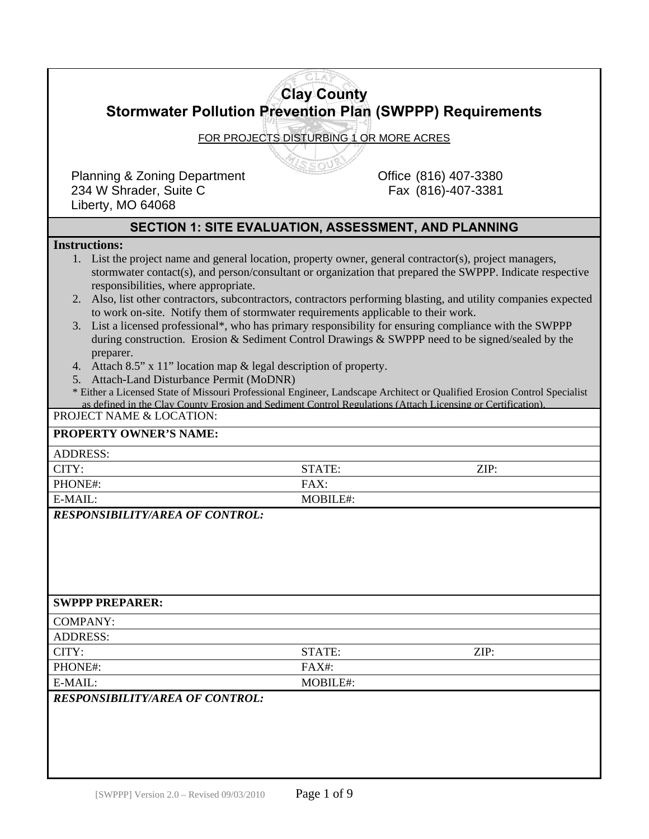|                                                                                                                                                                                                                      | <b>Clay County</b> |                                                                                                                                                                                                             |  |  |  |
|----------------------------------------------------------------------------------------------------------------------------------------------------------------------------------------------------------------------|--------------------|-------------------------------------------------------------------------------------------------------------------------------------------------------------------------------------------------------------|--|--|--|
| <b>Stormwater Pollution Prevention Plan (SWPPP) Requirements</b>                                                                                                                                                     |                    |                                                                                                                                                                                                             |  |  |  |
|                                                                                                                                                                                                                      |                    |                                                                                                                                                                                                             |  |  |  |
| FOR PROJECTS DISTURBING 1 OR MORE ACRES                                                                                                                                                                              |                    |                                                                                                                                                                                                             |  |  |  |
|                                                                                                                                                                                                                      |                    |                                                                                                                                                                                                             |  |  |  |
| <b>Planning &amp; Zoning Department</b>                                                                                                                                                                              |                    | Office (816) 407-3380                                                                                                                                                                                       |  |  |  |
| 234 W Shrader, Suite C                                                                                                                                                                                               |                    | Fax (816)-407-3381                                                                                                                                                                                          |  |  |  |
| Liberty, MO 64068                                                                                                                                                                                                    |                    |                                                                                                                                                                                                             |  |  |  |
|                                                                                                                                                                                                                      |                    | <b>SECTION 1: SITE EVALUATION, ASSESSMENT, AND PLANNING</b>                                                                                                                                                 |  |  |  |
| <b>Instructions:</b>                                                                                                                                                                                                 |                    |                                                                                                                                                                                                             |  |  |  |
| 1. List the project name and general location, property owner, general contractor(s), project managers,<br>stormwater contact(s), and person/consultant or organization that prepared the SWPPP. Indicate respective |                    |                                                                                                                                                                                                             |  |  |  |
| responsibilities, where appropriate.                                                                                                                                                                                 |                    |                                                                                                                                                                                                             |  |  |  |
|                                                                                                                                                                                                                      |                    | 2. Also, list other contractors, subcontractors, contractors performing blasting, and utility companies expected                                                                                            |  |  |  |
| to work on-site. Notify them of stormwater requirements applicable to their work.                                                                                                                                    |                    |                                                                                                                                                                                                             |  |  |  |
|                                                                                                                                                                                                                      |                    | 3. List a licensed professional*, who has primary responsibility for ensuring compliance with the SWPPP<br>during construction. Erosion & Sediment Control Drawings & SWPPP need to be signed/sealed by the |  |  |  |
| preparer.                                                                                                                                                                                                            |                    |                                                                                                                                                                                                             |  |  |  |
| 4. Attach 8.5" x 11" location map & legal description of property.                                                                                                                                                   |                    |                                                                                                                                                                                                             |  |  |  |
| 5. Attach-Land Disturbance Permit (MoDNR)                                                                                                                                                                            |                    |                                                                                                                                                                                                             |  |  |  |
| as defined in the Clay County Erosion and Sediment Control Regulations (Attach Licensing or Certification)                                                                                                           |                    | * Either a Licensed State of Missouri Professional Engineer, Landscape Architect or Qualified Erosion Control Specialist                                                                                    |  |  |  |
| PROJECT NAME & LOCATION:                                                                                                                                                                                             |                    |                                                                                                                                                                                                             |  |  |  |
| <b>PROPERTY OWNER'S NAME:</b>                                                                                                                                                                                        |                    |                                                                                                                                                                                                             |  |  |  |
| <b>ADDRESS:</b>                                                                                                                                                                                                      |                    |                                                                                                                                                                                                             |  |  |  |
| CITY:                                                                                                                                                                                                                | STATE:             | ZIP:                                                                                                                                                                                                        |  |  |  |
| PHONE#:                                                                                                                                                                                                              | FAX:               |                                                                                                                                                                                                             |  |  |  |
| E-MAIL:                                                                                                                                                                                                              | MOBILE#:           |                                                                                                                                                                                                             |  |  |  |
| <b>RESPONSIBILITY/AREA OF CONTROL:</b>                                                                                                                                                                               |                    |                                                                                                                                                                                                             |  |  |  |
|                                                                                                                                                                                                                      |                    |                                                                                                                                                                                                             |  |  |  |
|                                                                                                                                                                                                                      |                    |                                                                                                                                                                                                             |  |  |  |
|                                                                                                                                                                                                                      |                    |                                                                                                                                                                                                             |  |  |  |
|                                                                                                                                                                                                                      |                    |                                                                                                                                                                                                             |  |  |  |
| <b>SWPPP PREPARER:</b>                                                                                                                                                                                               |                    |                                                                                                                                                                                                             |  |  |  |
| <b>COMPANY:</b>                                                                                                                                                                                                      |                    |                                                                                                                                                                                                             |  |  |  |
| <b>ADDRESS:</b>                                                                                                                                                                                                      |                    |                                                                                                                                                                                                             |  |  |  |
| CITY:                                                                                                                                                                                                                | STATE:             | ZIP:                                                                                                                                                                                                        |  |  |  |
| PHONE#:                                                                                                                                                                                                              | FAX#:              |                                                                                                                                                                                                             |  |  |  |
| E-MAIL:                                                                                                                                                                                                              | MOBILE#:           |                                                                                                                                                                                                             |  |  |  |
| <b>RESPONSIBILITY/AREA OF CONTROL:</b>                                                                                                                                                                               |                    |                                                                                                                                                                                                             |  |  |  |
|                                                                                                                                                                                                                      |                    |                                                                                                                                                                                                             |  |  |  |
|                                                                                                                                                                                                                      |                    |                                                                                                                                                                                                             |  |  |  |
|                                                                                                                                                                                                                      |                    |                                                                                                                                                                                                             |  |  |  |
|                                                                                                                                                                                                                      |                    |                                                                                                                                                                                                             |  |  |  |
|                                                                                                                                                                                                                      |                    |                                                                                                                                                                                                             |  |  |  |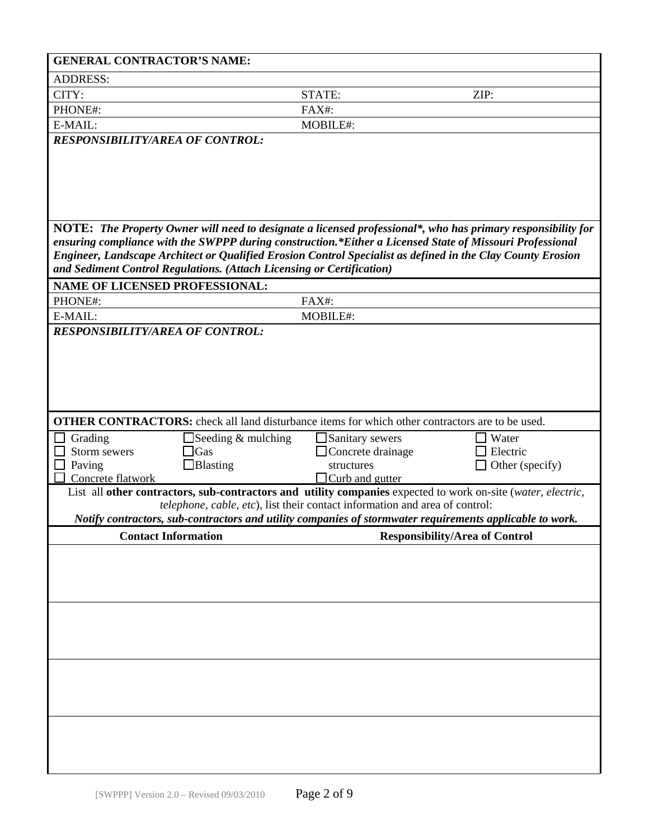| <b>GENERAL CONTRACTOR'S NAME:</b>      |                                                                                                        |                                             |                                                                                                                                                                                                                          |
|----------------------------------------|--------------------------------------------------------------------------------------------------------|---------------------------------------------|--------------------------------------------------------------------------------------------------------------------------------------------------------------------------------------------------------------------------|
| <b>ADDRESS:</b>                        |                                                                                                        |                                             |                                                                                                                                                                                                                          |
| CITY:                                  |                                                                                                        | STATE:                                      | ZIP:                                                                                                                                                                                                                     |
| PHONE#:                                |                                                                                                        | FAX#:                                       |                                                                                                                                                                                                                          |
| E-MAIL:                                |                                                                                                        | MOBILE#:                                    |                                                                                                                                                                                                                          |
| <b>RESPONSIBILITY/AREA OF CONTROL:</b> |                                                                                                        |                                             |                                                                                                                                                                                                                          |
|                                        |                                                                                                        |                                             |                                                                                                                                                                                                                          |
|                                        |                                                                                                        |                                             |                                                                                                                                                                                                                          |
|                                        |                                                                                                        |                                             |                                                                                                                                                                                                                          |
|                                        |                                                                                                        |                                             |                                                                                                                                                                                                                          |
|                                        |                                                                                                        |                                             |                                                                                                                                                                                                                          |
|                                        |                                                                                                        |                                             | NOTE: The Property Owner will need to designate a licensed professional*, who has primary responsibility for<br>ensuring compliance with the SWPPP during construction.*Either a Licensed State of Missouri Professional |
|                                        |                                                                                                        |                                             | Engineer, Landscape Architect or Qualified Erosion Control Specialist as defined in the Clay County Erosion                                                                                                              |
|                                        | and Sediment Control Regulations. (Attach Licensing or Certification)                                  |                                             |                                                                                                                                                                                                                          |
| <b>NAME OF LICENSED PROFESSIONAL:</b>  |                                                                                                        |                                             |                                                                                                                                                                                                                          |
| PHONE#:                                |                                                                                                        | FAX#:                                       |                                                                                                                                                                                                                          |
| E-MAIL:                                |                                                                                                        | MOBILE#:                                    |                                                                                                                                                                                                                          |
| <b>RESPONSIBILITY/AREA OF CONTROL:</b> |                                                                                                        |                                             |                                                                                                                                                                                                                          |
|                                        |                                                                                                        |                                             |                                                                                                                                                                                                                          |
|                                        |                                                                                                        |                                             |                                                                                                                                                                                                                          |
|                                        |                                                                                                        |                                             |                                                                                                                                                                                                                          |
|                                        |                                                                                                        |                                             |                                                                                                                                                                                                                          |
|                                        |                                                                                                        |                                             |                                                                                                                                                                                                                          |
|                                        | <b>OTHER CONTRACTORS:</b> check all land disturbance items for which other contractors are to be used. |                                             |                                                                                                                                                                                                                          |
| Grading<br>Storm sewers                | $\Box$ Seeding & mulching<br>$\Box$ Gas                                                                | Sanitary sewers<br>$\Box$ Concrete drainage | Water<br>Electric                                                                                                                                                                                                        |
| Paving                                 | $\Box$ Blasting                                                                                        | structures                                  | Other (specify)                                                                                                                                                                                                          |
| Concrete flatwork                      |                                                                                                        | $\Box$ Curb and gutter                      |                                                                                                                                                                                                                          |
|                                        |                                                                                                        |                                             | List all other contractors, sub-contractors and utility companies expected to work on-site (water, electric,                                                                                                             |
|                                        | telephone, cable, etc), list their contact information and area of control:                            |                                             |                                                                                                                                                                                                                          |
|                                        |                                                                                                        |                                             | Notify contractors, sub-contractors and utility companies of stormwater requirements applicable to work.                                                                                                                 |
| <b>Contact Information</b>             |                                                                                                        |                                             | <b>Responsibility/Area of Control</b>                                                                                                                                                                                    |
|                                        |                                                                                                        |                                             |                                                                                                                                                                                                                          |
|                                        |                                                                                                        |                                             |                                                                                                                                                                                                                          |
|                                        |                                                                                                        |                                             |                                                                                                                                                                                                                          |
|                                        |                                                                                                        |                                             |                                                                                                                                                                                                                          |
|                                        |                                                                                                        |                                             |                                                                                                                                                                                                                          |
|                                        |                                                                                                        |                                             |                                                                                                                                                                                                                          |
|                                        |                                                                                                        |                                             |                                                                                                                                                                                                                          |
|                                        |                                                                                                        |                                             |                                                                                                                                                                                                                          |
|                                        |                                                                                                        |                                             |                                                                                                                                                                                                                          |
|                                        |                                                                                                        |                                             |                                                                                                                                                                                                                          |
|                                        |                                                                                                        |                                             |                                                                                                                                                                                                                          |
|                                        |                                                                                                        |                                             |                                                                                                                                                                                                                          |
|                                        |                                                                                                        |                                             |                                                                                                                                                                                                                          |
|                                        |                                                                                                        |                                             |                                                                                                                                                                                                                          |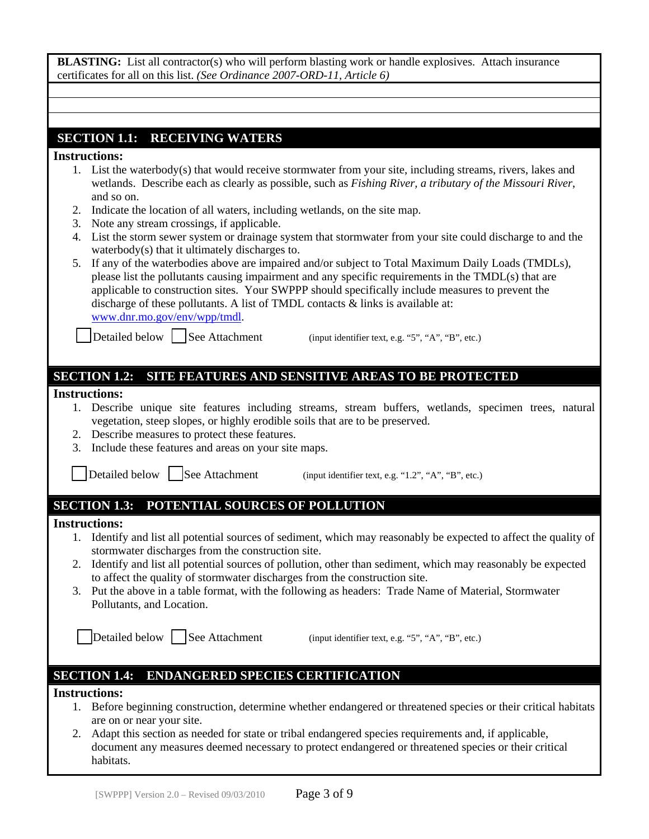| <b>BLASTING:</b> List all contractor(s) who will perform blasting work or handle explosives. Attach insurance |  |
|---------------------------------------------------------------------------------------------------------------|--|
| certificates for all on this list. (See Ordinance 2007-ORD-11, Article 6)                                     |  |

## **SECTION 1.1: RECEIVING WATERS**

#### **Instructions:**

- 1. List the waterbody(s) that would receive stormwater from your site, including streams, rivers, lakes and wetlands. Describe each as clearly as possible, such as *Fishing River, a tributary of the Missouri River*, and so on.
- 2. Indicate the location of all waters, including wetlands, on the site map.
- 3. Note any stream crossings, if applicable.
- 4. List the storm sewer system or drainage system that stormwater from your site could discharge to and the waterbody(s) that it ultimately discharges to.
- 5. If any of the waterbodies above are impaired and/or subject to Total Maximum Daily Loads (TMDLs), please list the pollutants causing impairment and any specific requirements in the TMDL(s) that are applicable to construction sites. Your SWPPP should specifically include measures to prevent the discharge of these pollutants. A list of TMDL contacts & links is available at: www.dnr.mo.gov/env/wpp/tmdl.

Detailed below  $\Box$  See Attachment (input identifier text, e.g. "5", "A", "B", etc.)

### **SECTION 1.2: SITE FEATURES AND SENSITIVE AREAS TO BE PROTECTED**

#### **Instructions:**

- 1. Describe unique site features including streams, stream buffers, wetlands, specimen trees, natural vegetation, steep slopes, or highly erodible soils that are to be preserved.
- 2. Describe measures to protect these features.
- 3. Include these features and areas on your site maps.

Detailed below  $\Box$  See Attachment (input identifier text, e.g. "1.2", "A", "B", etc.)

## **SECTION 1.3: POTENTIAL SOURCES OF POLLUTION**

#### **Instructions:**

- 1. Identify and list all potential sources of sediment, which may reasonably be expected to affect the quality of stormwater discharges from the construction site.
- 2. Identify and list all potential sources of pollution, other than sediment, which may reasonably be expected to affect the quality of stormwater discharges from the construction site.
- 3. Put the above in a table format, with the following as headers: Trade Name of Material, Stormwater Pollutants, and Location.

 $\Delta$  Detailed below  $\Delta$  See Attachment (input identifier text, e.g. "5", "A", "B", etc.)

# **SECTION 1.4: ENDANGERED SPECIES CERTIFICATION**

### **Instructions:**

- 1. Before beginning construction, determine whether endangered or threatened species or their critical habitats are on or near your site.
- 2. Adapt this section as needed for state or tribal endangered species requirements and, if applicable, document any measures deemed necessary to protect endangered or threatened species or their critical habitats.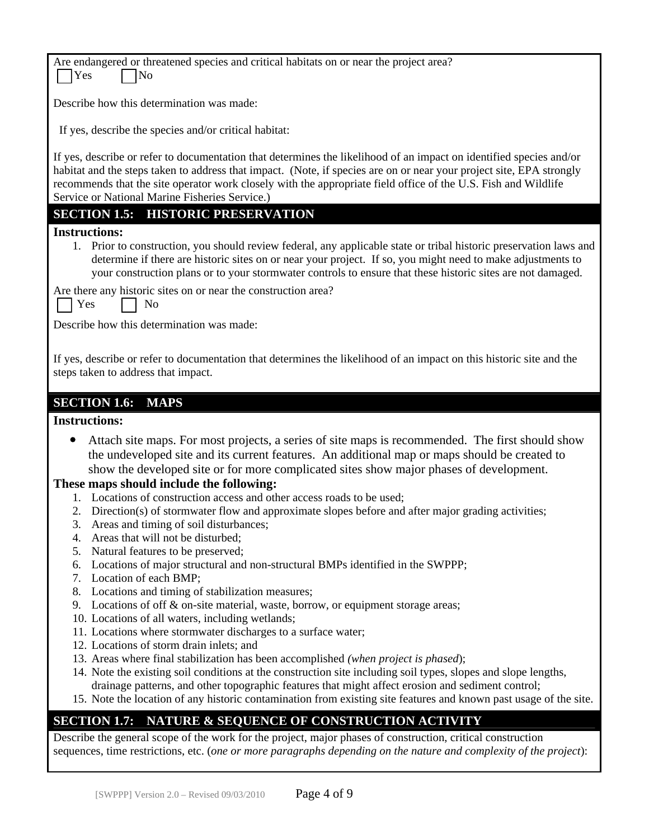| Are endangered or threatened species and critical habitats on or near the project area?<br>Yes<br>No                                                                                                                                                                                                                                                                                                            |  |  |
|-----------------------------------------------------------------------------------------------------------------------------------------------------------------------------------------------------------------------------------------------------------------------------------------------------------------------------------------------------------------------------------------------------------------|--|--|
| Describe how this determination was made:                                                                                                                                                                                                                                                                                                                                                                       |  |  |
| If yes, describe the species and/or critical habitat:                                                                                                                                                                                                                                                                                                                                                           |  |  |
| If yes, describe or refer to documentation that determines the likelihood of an impact on identified species and/or<br>habitat and the steps taken to address that impact. (Note, if species are on or near your project site, EPA strongly<br>recommends that the site operator work closely with the appropriate field office of the U.S. Fish and Wildlife<br>Service or National Marine Fisheries Service.) |  |  |
| <b>SECTION 1.5: HISTORIC PRESERVATION</b>                                                                                                                                                                                                                                                                                                                                                                       |  |  |
| <b>Instructions:</b>                                                                                                                                                                                                                                                                                                                                                                                            |  |  |
| 1. Prior to construction, you should review federal, any applicable state or tribal historic preservation laws and<br>determine if there are historic sites on or near your project. If so, you might need to make adjustments to<br>your construction plans or to your stormwater controls to ensure that these historic sites are not damaged.                                                                |  |  |
| Are there any historic sites on or near the construction area?<br>Yes<br>N <sub>o</sub>                                                                                                                                                                                                                                                                                                                         |  |  |
| Describe how this determination was made:                                                                                                                                                                                                                                                                                                                                                                       |  |  |
| If yes, describe or refer to documentation that determines the likelihood of an impact on this historic site and the<br>steps taken to address that impact.                                                                                                                                                                                                                                                     |  |  |
| <b>SECTION 1.6:</b><br><b>MAPS</b>                                                                                                                                                                                                                                                                                                                                                                              |  |  |
|                                                                                                                                                                                                                                                                                                                                                                                                                 |  |  |
| <b>Instructions:</b>                                                                                                                                                                                                                                                                                                                                                                                            |  |  |
| Attach site maps. For most projects, a series of site maps is recommended. The first should show<br>the undeveloped site and its current features. An additional map or maps should be created to<br>show the developed site or for more complicated sites show major phases of development.<br>These maps should include the following:                                                                        |  |  |
| 1. Locations of construction access and other access roads to be used;                                                                                                                                                                                                                                                                                                                                          |  |  |
| 2. Direction(s) of stormwater flow and approximate slopes before and after major grading activities;                                                                                                                                                                                                                                                                                                            |  |  |
| Areas and timing of soil disturbances;<br>3.                                                                                                                                                                                                                                                                                                                                                                    |  |  |
| Areas that will not be disturbed;<br>4.<br>5.                                                                                                                                                                                                                                                                                                                                                                   |  |  |
| Natural features to be preserved;<br>Locations of major structural and non-structural BMPs identified in the SWPPP;<br>6.                                                                                                                                                                                                                                                                                       |  |  |
| Location of each BMP;<br>7.                                                                                                                                                                                                                                                                                                                                                                                     |  |  |
| 8.<br>Locations and timing of stabilization measures;                                                                                                                                                                                                                                                                                                                                                           |  |  |
| Locations of off & on-site material, waste, borrow, or equipment storage areas;<br>9.                                                                                                                                                                                                                                                                                                                           |  |  |
| 10. Locations of all waters, including wetlands;                                                                                                                                                                                                                                                                                                                                                                |  |  |
| 11. Locations where stormwater discharges to a surface water;<br>12. Locations of storm drain inlets; and                                                                                                                                                                                                                                                                                                       |  |  |
| 13. Areas where final stabilization has been accomplished (when project is phased);                                                                                                                                                                                                                                                                                                                             |  |  |
| 14. Note the existing soil conditions at the construction site including soil types, slopes and slope lengths,                                                                                                                                                                                                                                                                                                  |  |  |
| drainage patterns, and other topographic features that might affect erosion and sediment control;<br>15. Note the location of any historic contamination from existing site features and known past usage of the site.                                                                                                                                                                                          |  |  |
| NATURE & SEQUENCE OF CONSTRUCTION ACTIVITY<br><b>SECTION 1.7:</b>                                                                                                                                                                                                                                                                                                                                               |  |  |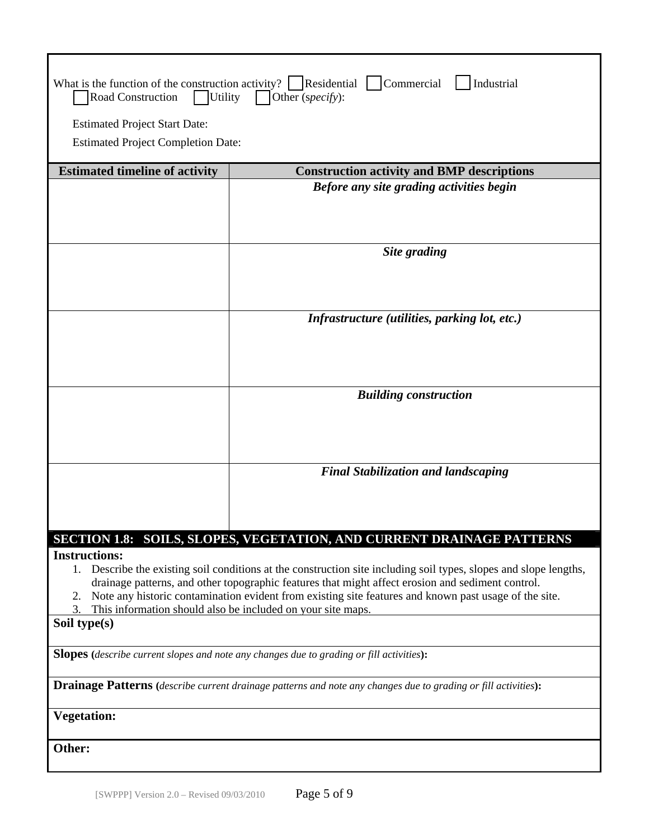| What is the function of the construction activity? $\Box$ Residential $\Box$ Commercial<br>Industrial<br><b>Road Construction</b><br>$ $ Utility<br>Other (specify):<br><b>Estimated Project Start Date:</b><br><b>Estimated Project Completion Date:</b>                                                                                                                                                                          |                                                                       |  |  |  |
|------------------------------------------------------------------------------------------------------------------------------------------------------------------------------------------------------------------------------------------------------------------------------------------------------------------------------------------------------------------------------------------------------------------------------------|-----------------------------------------------------------------------|--|--|--|
| <b>Estimated timeline of activity</b>                                                                                                                                                                                                                                                                                                                                                                                              | <b>Construction activity and BMP descriptions</b>                     |  |  |  |
|                                                                                                                                                                                                                                                                                                                                                                                                                                    | Before any site grading activities begin                              |  |  |  |
|                                                                                                                                                                                                                                                                                                                                                                                                                                    | Site grading                                                          |  |  |  |
|                                                                                                                                                                                                                                                                                                                                                                                                                                    | Infrastructure (utilities, parking lot, etc.)                         |  |  |  |
|                                                                                                                                                                                                                                                                                                                                                                                                                                    | <b>Building construction</b>                                          |  |  |  |
|                                                                                                                                                                                                                                                                                                                                                                                                                                    | <b>Final Stabilization and landscaping</b>                            |  |  |  |
|                                                                                                                                                                                                                                                                                                                                                                                                                                    | SECTION 1.8: SOILS, SLOPES, VEGETATION, AND CURRENT DRAINAGE PATTERNS |  |  |  |
| <b>Instructions:</b><br>1. Describe the existing soil conditions at the construction site including soil types, slopes and slope lengths,<br>drainage patterns, and other topographic features that might affect erosion and sediment control.<br>Note any historic contamination evident from existing site features and known past usage of the site.<br>2.<br>This information should also be included on your site maps.<br>3. |                                                                       |  |  |  |
| Soil type(s)                                                                                                                                                                                                                                                                                                                                                                                                                       |                                                                       |  |  |  |
| <b>Slopes</b> (describe current slopes and note any changes due to grading or fill activities):                                                                                                                                                                                                                                                                                                                                    |                                                                       |  |  |  |
| <b>Drainage Patterns</b> (describe current drainage patterns and note any changes due to grading or fill activities):                                                                                                                                                                                                                                                                                                              |                                                                       |  |  |  |
| <b>Vegetation:</b>                                                                                                                                                                                                                                                                                                                                                                                                                 |                                                                       |  |  |  |
| Other:                                                                                                                                                                                                                                                                                                                                                                                                                             |                                                                       |  |  |  |
|                                                                                                                                                                                                                                                                                                                                                                                                                                    |                                                                       |  |  |  |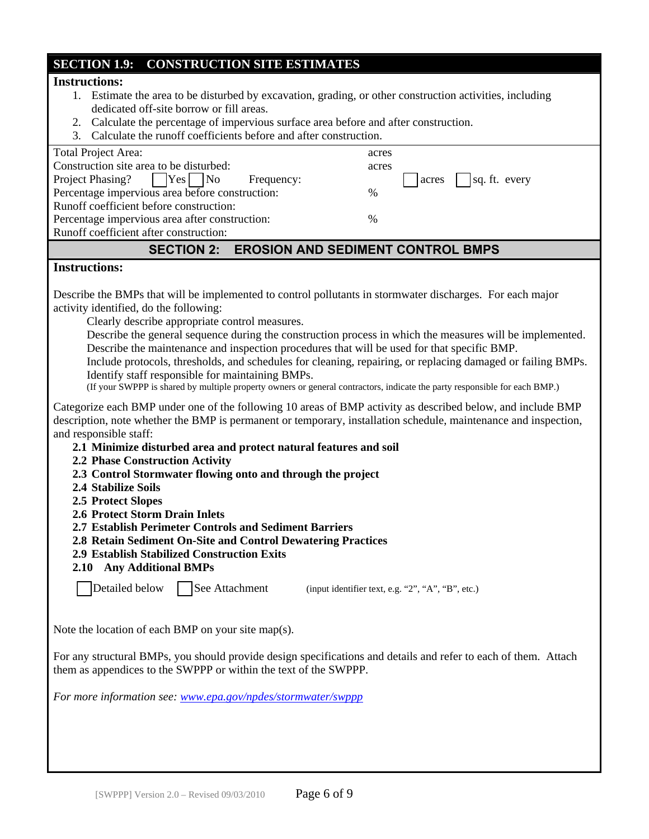## **SECTION 1.9: CONSTRUCTION SITE ESTIMATES**

### **Instructions:**

- 1. Estimate the area to be disturbed by excavation, grading, or other construction activities, including dedicated off-site borrow or fill areas.
- 2. Calculate the percentage of impervious surface area before and after construction.
- 3. Calculate the runoff coefficients before and after construction.

| <b>Total Project Area:</b>                          | acres                          |
|-----------------------------------------------------|--------------------------------|
| Construction site area to be disturbed:             | acres                          |
| Project Phasing?       Yes       No<br>Frequency:   | $\vert$ sq. ft. every<br>acres |
| Percentage impervious area before construction:     | $\frac{0}{0}$                  |
| Runoff coefficient before construction:             |                                |
| Percentage impervious area after construction:      | $\%$                           |
| Runoff coefficient after construction:              |                                |
| <b>SECTION 2: EROSION AND SEDIMENT CONTROL BMPS</b> |                                |

#### **Instructions:**

Describe the BMPs that will be implemented to control pollutants in stormwater discharges. For each major activity identified, do the following:

Clearly describe appropriate control measures.

 Describe the general sequence during the construction process in which the measures will be implemented. Describe the maintenance and inspection procedures that will be used for that specific BMP.

 Include protocols, thresholds, and schedules for cleaning, repairing, or replacing damaged or failing BMPs. Identify staff responsible for maintaining BMPs.

(If your SWPPP is shared by multiple property owners or general contractors, indicate the party responsible for each BMP.)

Categorize each BMP under one of the following 10 areas of BMP activity as described below, and include BMP description, note whether the BMP is permanent or temporary, installation schedule, maintenance and inspection, and responsible staff:

- **2.1 Minimize disturbed area and protect natural features and soil**
- **2.2 Phase Construction Activity**
- **2.3 Control Stormwater flowing onto and through the project**
- **2.4 Stabilize Soils**
- **2.5 Protect Slopes**
- **2.6 Protect Storm Drain Inlets**

**2.7 Establish Perimeter Controls and Sediment Barriers** 

- **2.8 Retain Sediment On-Site and Control Dewatering Practices**
- **2.9 Establish Stabilized Construction Exits**
- **2.10 Any Additional BMPs**

Detailed below  $\Box$  See Attachment (input identifier text, e.g. "2", "A", "B", etc.)

Note the location of each BMP on your site map(s).

For any structural BMPs, you should provide design specifications and details and refer to each of them. Attach them as appendices to the SWPPP or within the text of the SWPPP.

*For more information see: www.epa.gov/npdes/stormwater/swppp*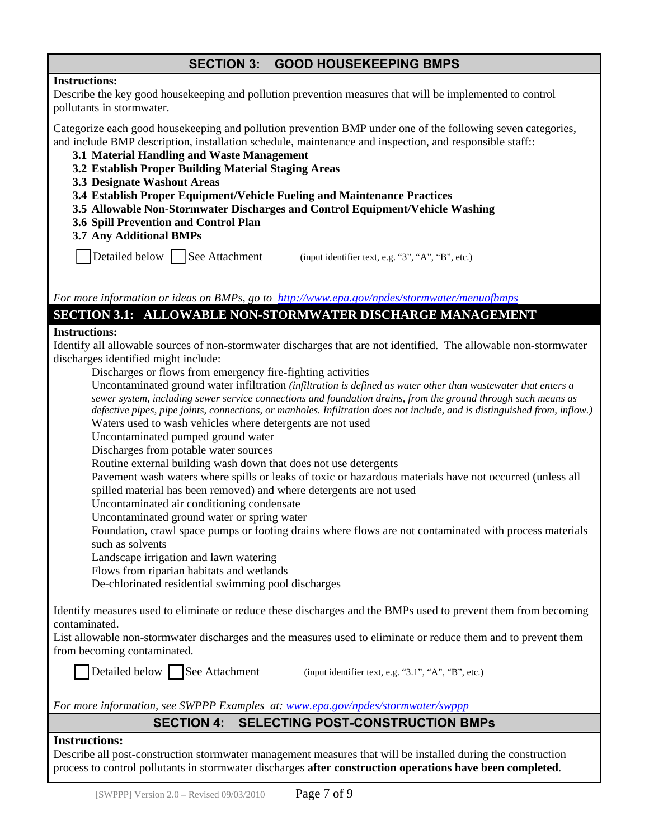## **SECTION 3: GOOD HOUSEKEEPING BMPS**

#### **Instructions:**

Describe the key good housekeeping and pollution prevention measures that will be implemented to control pollutants in stormwater.

Categorize each good housekeeping and pollution prevention BMP under one of the following seven categories, and include BMP description, installation schedule, maintenance and inspection, and responsible staff::

- **3.1 Material Handling and Waste Management**
- **3.2 Establish Proper Building Material Staging Areas**
- **3.3 Designate Washout Areas**
- **3.4 Establish Proper Equipment/Vehicle Fueling and Maintenance Practices**
- **3.5 Allowable Non-Stormwater Discharges and Control Equipment/Vehicle Washing**
- **3.6 Spill Prevention and Control Plan**
- **3.7 Any Additional BMPs**

Detailed below  $\Box$  See Attachment (input identifier text, e.g. "3", "A", "B", etc.)

*For more information or ideas on BMPs, go to http://www.epa.gov/npdes/stormwater/menuofbmps*

### **SECTION 3.1: ALLOWABLE NON-STORMWATER DISCHARGE MANAGEMENT**

### **Instructions:**

Identify all allowable sources of non-stormwater discharges that are not identified. The allowable non-stormwater discharges identified might include:

Discharges or flows from emergency fire-fighting activities

 Uncontaminated ground water infiltration *(infiltration is defined as water other than wastewater that enters a sewer system, including sewer service connections and foundation drains, from the ground through such means as defective pipes, pipe joints, connections, or manholes. Infiltration does not include, and is distinguished from, inflow.)* 

Waters used to wash vehicles where detergents are not used

Uncontaminated pumped ground water

Discharges from potable water sources

Routine external building wash down that does not use detergents

 Pavement wash waters where spills or leaks of toxic or hazardous materials have not occurred (unless all spilled material has been removed) and where detergents are not used

Uncontaminated air conditioning condensate

Uncontaminated ground water or spring water

 Foundation, crawl space pumps or footing drains where flows are not contaminated with process materials such as solvents

Landscape irrigation and lawn watering

Flows from riparian habitats and wetlands

De-chlorinated residential swimming pool discharges

Identify measures used to eliminate or reduce these discharges and the BMPs used to prevent them from becoming contaminated.

List allowable non-stormwater discharges and the measures used to eliminate or reduce them and to prevent them from becoming contaminated.

Detailed below See Attachment (input identifier text, e.g. "3.1", "A", "B", etc.)

*For more information, see SWPPP Examples at: www.epa.gov/npdes/stormwater/swppp*

## **SECTION 4: SELECTING POST-CONSTRUCTION BMPs**

### **Instructions:**

Describe all post-construction stormwater management measures that will be installed during the construction process to control pollutants in stormwater discharges **after construction operations have been completed**.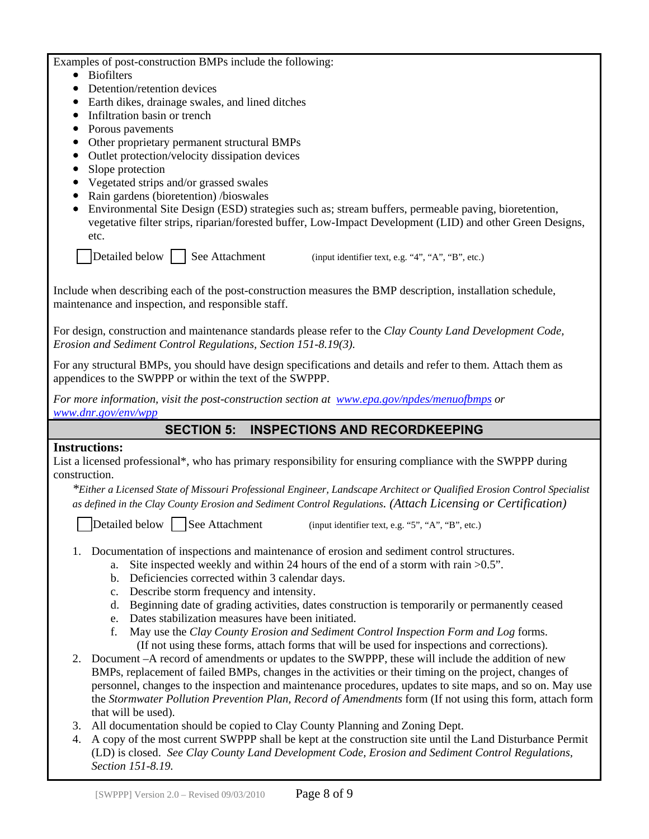Examples of post-construction BMPs include the following:

- Biofilters
- Detention/retention devices
- Earth dikes, drainage swales, and lined ditches
- Infiltration basin or trench
- Porous pavements
- Other proprietary permanent structural BMPs
- Outlet protection/velocity dissipation devices
- Slope protection
- Vegetated strips and/or grassed swales
- Rain gardens (bioretention) /bioswales
- Environmental Site Design (ESD) strategies such as; stream buffers, permeable paving, bioretention, vegetative filter strips, riparian/forested buffer, Low-Impact Development (LID) and other Green Designs, etc.

Detailed below  $\parallel$  See Attachment (input identifier text, e.g. "4", "A", "B", etc.)

Include when describing each of the post-construction measures the BMP description, installation schedule, maintenance and inspection, and responsible staff.

For design, construction and maintenance standards please refer to the *Clay County Land Development Code, Erosion and Sediment Control Regulations, Section 151-8.19(3).* 

For any structural BMPs, you should have design specifications and details and refer to them. Attach them as appendices to the SWPPP or within the text of the SWPPP.

*For more information, visit the post-construction section at www.epa.gov/npdes/menuofbmps or www.dnr.gov/env/wpp*

## **SECTION 5: INSPECTIONS AND RECORDKEEPING**

#### **Instructions:**

List a licensed professional\*, who has primary responsibility for ensuring compliance with the SWPPP during construction.

*\*Either a Licensed State of Missouri Professional Engineer, Landscape Architect or Qualified Erosion Control Specialist as defined in the Clay County Erosion and Sediment Control Regulations. (Attach Licensing or Certification)* 

Detailed below See Attachment (input identifier text, e.g. "5", "A", "B", etc.)

- 1. Documentation of inspections and maintenance of erosion and sediment control structures.
	- a. Site inspected weekly and within 24 hours of the end of a storm with rain >0.5".
	- b. Deficiencies corrected within 3 calendar days.
	- c. Describe storm frequency and intensity.
	- d. Beginning date of grading activities, dates construction is temporarily or permanently ceased
	- e. Dates stabilization measures have been initiated.
	- f. May use the *Clay County Erosion and Sediment Control Inspection Form and Log* forms. (If not using these forms, attach forms that will be used for inspections and corrections).
- 2. Document –A record of amendments or updates to the SWPPP, these will include the addition of new BMPs, replacement of failed BMPs, changes in the activities or their timing on the project, changes of personnel, changes to the inspection and maintenance procedures, updates to site maps, and so on. May use the *Stormwater Pollution Prevention Plan, Record of Amendments* form (If not using this form, attach form that will be used).
- 3. All documentation should be copied to Clay County Planning and Zoning Dept.
- 4. A copy of the most current SWPPP shall be kept at the construction site until the Land Disturbance Permit (LD) is closed. *See Clay County Land Development Code, Erosion and Sediment Control Regulations, Section 151-8.19.*